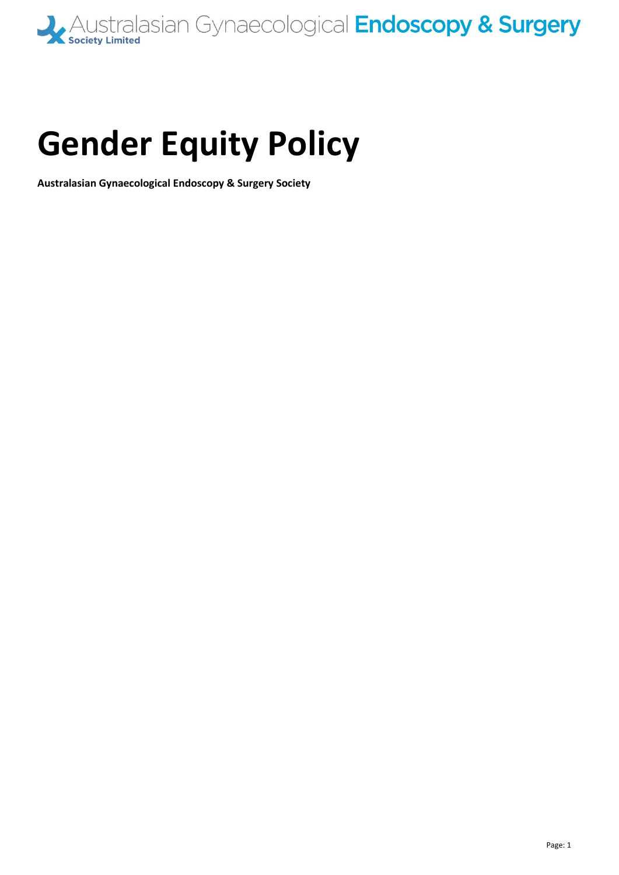

# **Gender Equity Policy**

**Australasian Gynaecological Endoscopy & Surgery Society**